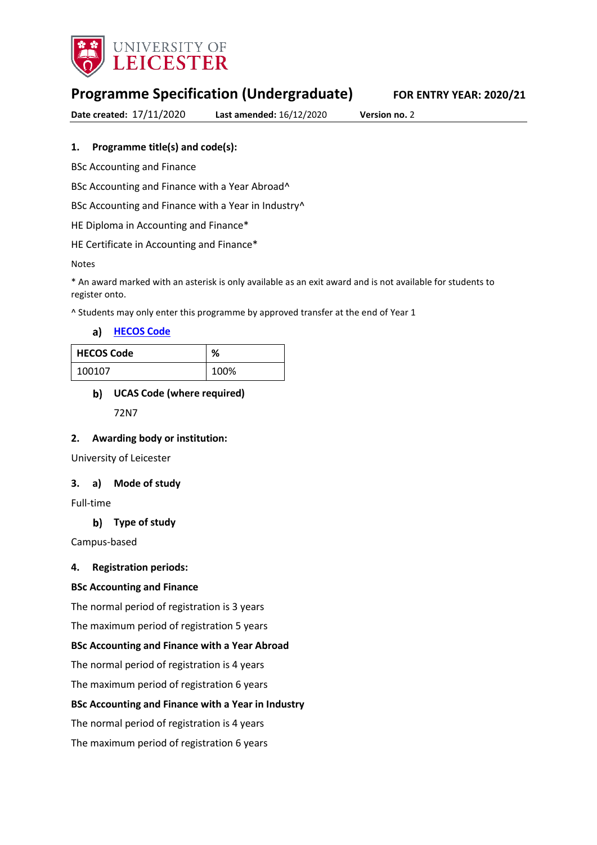

# **Programme Specification (Undergraduate) FOR ENTRY YEAR: 2020/21**

**Date created:** 17/11/2020 **Last amended:** 16/12/2020 **Version no.** 2

#### **1. Programme title(s) and code(s):**

BSc Accounting and Finance

BSc Accounting and Finance with a Year Abroad^

BSc Accounting and Finance with a Year in Industry<sup>^</sup>

HE Diploma in Accounting and Finance\*

HE Certificate in Accounting and Finance\*

Notes

\* An award marked with an asterisk is only available as an exit award and is not available for students to register onto.

^ Students may only enter this programme by approved transfer at the end of Year 1

**[HECOS Code](https://www.hesa.ac.uk/innovation/hecos)**

| <b>HECOS Code</b> | %    |
|-------------------|------|
| 100107            | 100% |

#### **UCAS Code (where required)**

72N7

#### **2. Awarding body or institution:**

University of Leicester

#### **3. a) Mode of study**

Full-time

### **Type of study**

Campus-based

#### **4. Registration periods:**

#### **BSc Accounting and Finance**

The normal period of registration is 3 years

The maximum period of registration 5 years

#### **BSc Accounting and Finance with a Year Abroad**

The normal period of registration is 4 years

The maximum period of registration 6 years

#### **BSc Accounting and Finance with a Year in Industry**

The normal period of registration is 4 years

The maximum period of registration 6 years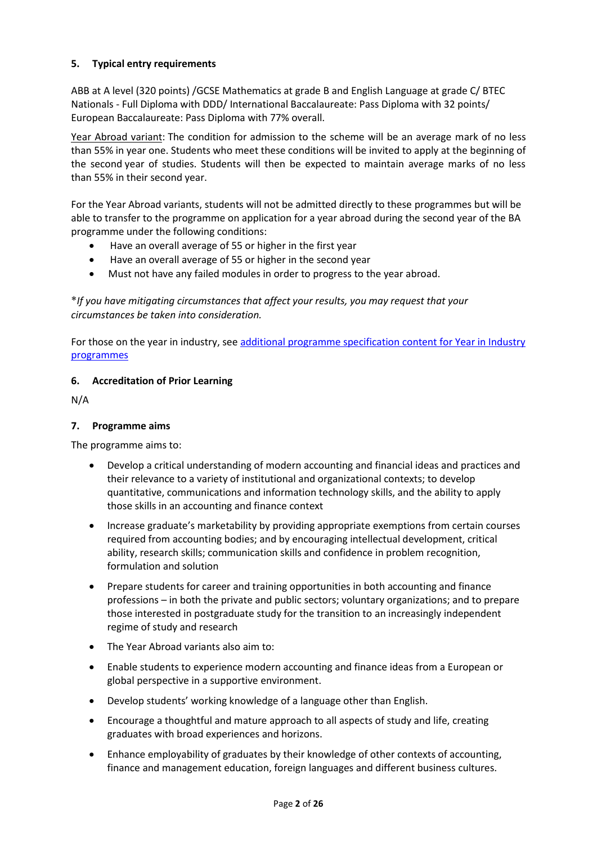### **5. Typical entry requirements**

ABB at A level (320 points) /GCSE Mathematics at grade B and English Language at grade C/ BTEC Nationals - Full Diploma with DDD/ International Baccalaureate: Pass Diploma with 32 points/ European Baccalaureate: Pass Diploma with 77% overall.

Year Abroad variant: The condition for admission to the scheme will be an average mark of no less than 55% in year one. Students who meet these conditions will be invited to apply at the beginning of the second year of studies. Students will then be expected to maintain average marks of no less than 55% in their second year.

For the Year Abroad variants, students will not be admitted directly to these programmes but will be able to transfer to the programme on application for a year abroad during the second year of the BA programme under the following conditions:

- Have an overall average of 55 or higher in the first year
- Have an overall average of 55 or higher in the second year
- Must not have any failed modules in order to progress to the year abroad.

**\****If you have mitigating circumstances that affect your results, you may request that your circumstances be taken into consideration.*

For those on the year in industry, see additional programme specification content for Year in Industry [programmes](https://www2.le.ac.uk/offices/sas2/courses/documentation/undergraduate-programme-specification-content-for-year-in-industry-programme-variants)

### **6. Accreditation of Prior Learning**

N/A

#### **7. Programme aims**

The programme aims to:

- Develop a critical understanding of modern accounting and financial ideas and practices and their relevance to a variety of institutional and organizational contexts; to develop quantitative, communications and information technology skills, and the ability to apply those skills in an accounting and finance context
- Increase graduate's marketability by providing appropriate exemptions from certain courses required from accounting bodies; and by encouraging intellectual development, critical ability, research skills; communication skills and confidence in problem recognition, formulation and solution
- Prepare students for career and training opportunities in both accounting and finance professions – in both the private and public sectors; voluntary organizations; and to prepare those interested in postgraduate study for the transition to an increasingly independent regime of study and research
- The Year Abroad variants also aim to:
- Enable students to experience modern accounting and finance ideas from a European or global perspective in a supportive environment.
- Develop students' working knowledge of a language other than English.
- Encourage a thoughtful and mature approach to all aspects of study and life, creating graduates with broad experiences and horizons.
- Enhance employability of graduates by their knowledge of other contexts of accounting, finance and management education, foreign languages and different business cultures.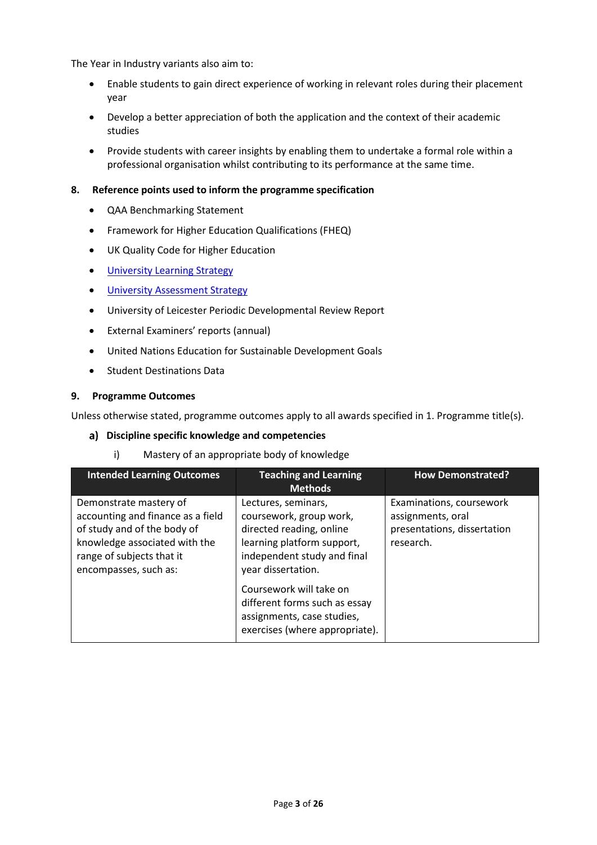The Year in Industry variants also aim to:

- Enable students to gain direct experience of working in relevant roles during their placement year
- Develop a better appreciation of both the application and the context of their academic studies
- Provide students with career insights by enabling them to undertake a formal role within a professional organisation whilst contributing to its performance at the same time.

#### **8. Reference points used to inform the programme specification**

- QAA Benchmarking Statement
- Framework for Higher Education Qualifications (FHEQ)
- UK Quality Code for Higher Education
- **•** University Learnin[g Strategy](https://www2.le.ac.uk/offices/sas2/quality/learnteach)
- **•** [University Assessment Strategy](https://www2.le.ac.uk/offices/sas2/quality/learnteach)
- University of Leicester Periodic Developmental Review Report
- External Examiners' reports (annual)
- United Nations Education for Sustainable Development Goals
- **•** Student Destinations Data

#### **9. Programme Outcomes**

Unless otherwise stated, programme outcomes apply to all awards specified in 1. Programme title(s).

#### **Discipline specific knowledge and competencies**

i) Mastery of an appropriate body of knowledge

| <b>Intended Learning Outcomes</b>                                                                                                                                                 | <b>Teaching and Learning</b><br><b>Methods</b>                                                                                                                | <b>How Demonstrated?</b>                                                                  |
|-----------------------------------------------------------------------------------------------------------------------------------------------------------------------------------|---------------------------------------------------------------------------------------------------------------------------------------------------------------|-------------------------------------------------------------------------------------------|
| Demonstrate mastery of<br>accounting and finance as a field<br>of study and of the body of<br>knowledge associated with the<br>range of subjects that it<br>encompasses, such as: | Lectures, seminars,<br>coursework, group work,<br>directed reading, online<br>learning platform support,<br>independent study and final<br>year dissertation. | Examinations, coursework<br>assignments, oral<br>presentations, dissertation<br>research. |
|                                                                                                                                                                                   | Coursework will take on<br>different forms such as essay<br>assignments, case studies,<br>exercises (where appropriate).                                      |                                                                                           |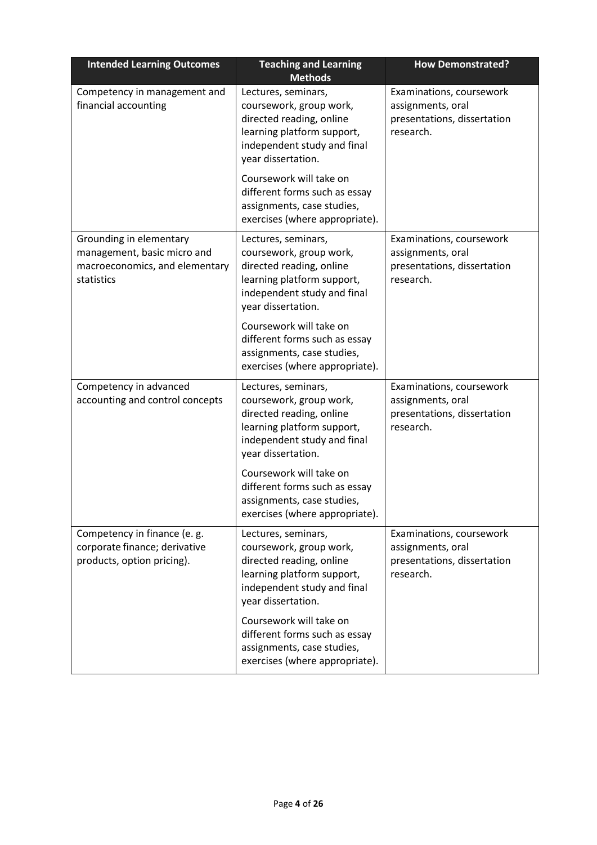| <b>Intended Learning Outcomes</b>                                                                      | <b>Teaching and Learning</b><br><b>Methods</b>                                                                                                                | <b>How Demonstrated?</b>                                                                  |
|--------------------------------------------------------------------------------------------------------|---------------------------------------------------------------------------------------------------------------------------------------------------------------|-------------------------------------------------------------------------------------------|
| Competency in management and<br>financial accounting                                                   | Lectures, seminars,<br>coursework, group work,<br>directed reading, online<br>learning platform support,<br>independent study and final<br>year dissertation. | Examinations, coursework<br>assignments, oral<br>presentations, dissertation<br>research. |
|                                                                                                        | Coursework will take on<br>different forms such as essay<br>assignments, case studies,<br>exercises (where appropriate).                                      |                                                                                           |
| Grounding in elementary<br>management, basic micro and<br>macroeconomics, and elementary<br>statistics | Lectures, seminars,<br>coursework, group work,<br>directed reading, online<br>learning platform support,<br>independent study and final<br>year dissertation. | Examinations, coursework<br>assignments, oral<br>presentations, dissertation<br>research. |
|                                                                                                        | Coursework will take on<br>different forms such as essay<br>assignments, case studies,<br>exercises (where appropriate).                                      |                                                                                           |
| Competency in advanced<br>accounting and control concepts                                              | Lectures, seminars,<br>coursework, group work,<br>directed reading, online<br>learning platform support,<br>independent study and final<br>year dissertation. | Examinations, coursework<br>assignments, oral<br>presentations, dissertation<br>research. |
|                                                                                                        | Coursework will take on<br>different forms such as essay<br>assignments, case studies,<br>exercises (where appropriate).                                      |                                                                                           |
| Competency in finance (e. g.<br>corporate finance; derivative<br>products, option pricing).            | Lectures, seminars,<br>coursework, group work,<br>directed reading, online<br>learning platform support,<br>independent study and final<br>year dissertation. | Examinations, coursework<br>assignments, oral<br>presentations, dissertation<br>research. |
|                                                                                                        | Coursework will take on<br>different forms such as essay<br>assignments, case studies,<br>exercises (where appropriate).                                      |                                                                                           |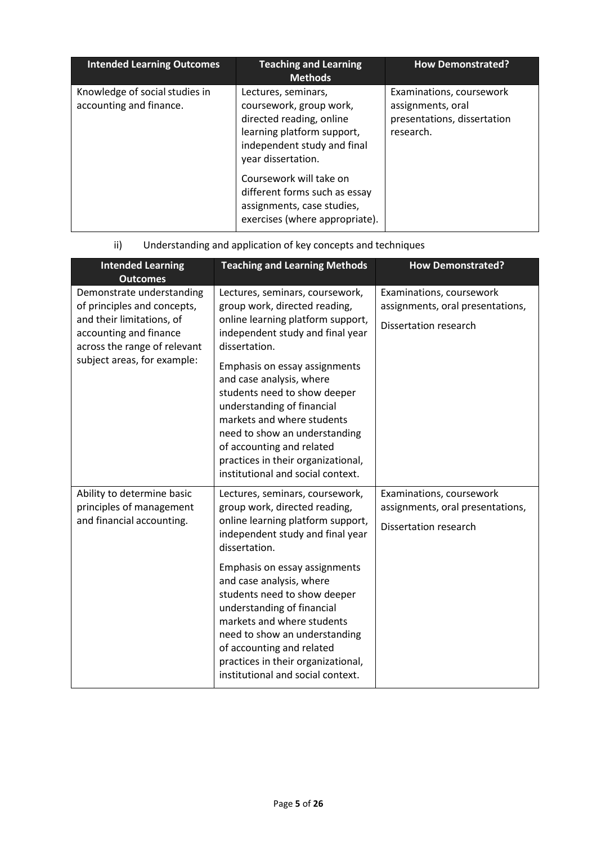| <b>Intended Learning Outcomes</b>                         | <b>Teaching and Learning</b><br><b>Methods</b>                                                                                                                                                                                                                                            | <b>How Demonstrated?</b>                                                                  |
|-----------------------------------------------------------|-------------------------------------------------------------------------------------------------------------------------------------------------------------------------------------------------------------------------------------------------------------------------------------------|-------------------------------------------------------------------------------------------|
| Knowledge of social studies in<br>accounting and finance. | Lectures, seminars,<br>coursework, group work,<br>directed reading, online<br>learning platform support,<br>independent study and final<br>year dissertation.<br>Coursework will take on<br>different forms such as essay<br>assignments, case studies,<br>exercises (where appropriate). | Examinations, coursework<br>assignments, oral<br>presentations, dissertation<br>research. |

# ii) Understanding and application of key concepts and techniques

| <b>Intended Learning</b><br><b>Outcomes</b>                                                                                                                                    | <b>Teaching and Learning Methods</b>                                                                                                                                                                                                                                                                                                                                                                                                                         | <b>How Demonstrated?</b>                                                                     |
|--------------------------------------------------------------------------------------------------------------------------------------------------------------------------------|--------------------------------------------------------------------------------------------------------------------------------------------------------------------------------------------------------------------------------------------------------------------------------------------------------------------------------------------------------------------------------------------------------------------------------------------------------------|----------------------------------------------------------------------------------------------|
| Demonstrate understanding<br>of principles and concepts,<br>and their limitations, of<br>accounting and finance<br>across the range of relevant<br>subject areas, for example: | Lectures, seminars, coursework,<br>group work, directed reading,<br>online learning platform support,<br>independent study and final year<br>dissertation.<br>Emphasis on essay assignments<br>and case analysis, where<br>students need to show deeper<br>understanding of financial<br>markets and where students<br>need to show an understanding<br>of accounting and related<br>practices in their organizational,<br>institutional and social context. | Examinations, coursework<br>assignments, oral presentations,<br>Dissertation research        |
| Ability to determine basic<br>principles of management<br>and financial accounting.                                                                                            | Lectures, seminars, coursework,<br>group work, directed reading,<br>online learning platform support,<br>independent study and final year<br>dissertation.<br>Emphasis on essay assignments<br>and case analysis, where<br>students need to show deeper<br>understanding of financial<br>markets and where students<br>need to show an understanding<br>of accounting and related<br>practices in their organizational,<br>institutional and social context. | Examinations, coursework<br>assignments, oral presentations,<br><b>Dissertation research</b> |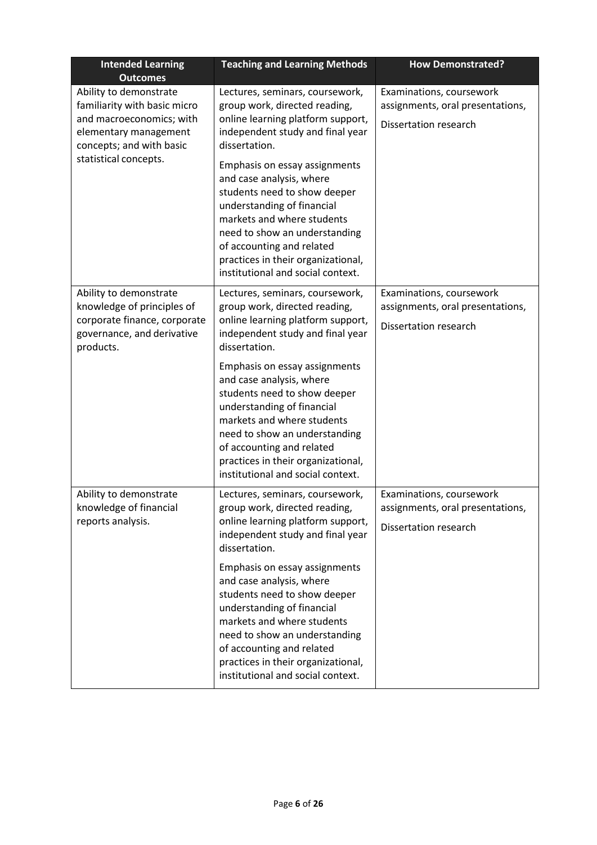| <b>Intended Learning</b><br><b>Outcomes</b>                                                                                             | <b>Teaching and Learning Methods</b>                                                                                                                                                                                                                                                           | <b>How Demonstrated?</b>                                                                     |
|-----------------------------------------------------------------------------------------------------------------------------------------|------------------------------------------------------------------------------------------------------------------------------------------------------------------------------------------------------------------------------------------------------------------------------------------------|----------------------------------------------------------------------------------------------|
| Ability to demonstrate<br>familiarity with basic micro<br>and macroeconomics; with<br>elementary management<br>concepts; and with basic | Lectures, seminars, coursework,<br>group work, directed reading,<br>online learning platform support,<br>independent study and final year<br>dissertation.                                                                                                                                     | Examinations, coursework<br>assignments, oral presentations,<br><b>Dissertation research</b> |
| statistical concepts.                                                                                                                   | Emphasis on essay assignments<br>and case analysis, where<br>students need to show deeper<br>understanding of financial<br>markets and where students<br>need to show an understanding<br>of accounting and related<br>practices in their organizational,<br>institutional and social context. |                                                                                              |
| Ability to demonstrate<br>knowledge of principles of<br>corporate finance, corporate<br>governance, and derivative<br>products.         | Lectures, seminars, coursework,<br>group work, directed reading,<br>online learning platform support,<br>independent study and final year<br>dissertation.                                                                                                                                     | Examinations, coursework<br>assignments, oral presentations,<br><b>Dissertation research</b> |
|                                                                                                                                         | Emphasis on essay assignments<br>and case analysis, where<br>students need to show deeper<br>understanding of financial<br>markets and where students<br>need to show an understanding<br>of accounting and related<br>practices in their organizational,<br>institutional and social context. |                                                                                              |
| Ability to demonstrate<br>knowledge of financial<br>reports analysis.                                                                   | Lectures, seminars, coursework,<br>group work, directed reading,<br>online learning platform support,<br>independent study and final year<br>dissertation.                                                                                                                                     | Examinations, coursework<br>assignments, oral presentations,<br>Dissertation research        |
|                                                                                                                                         | Emphasis on essay assignments<br>and case analysis, where<br>students need to show deeper<br>understanding of financial<br>markets and where students<br>need to show an understanding<br>of accounting and related<br>practices in their organizational,<br>institutional and social context. |                                                                                              |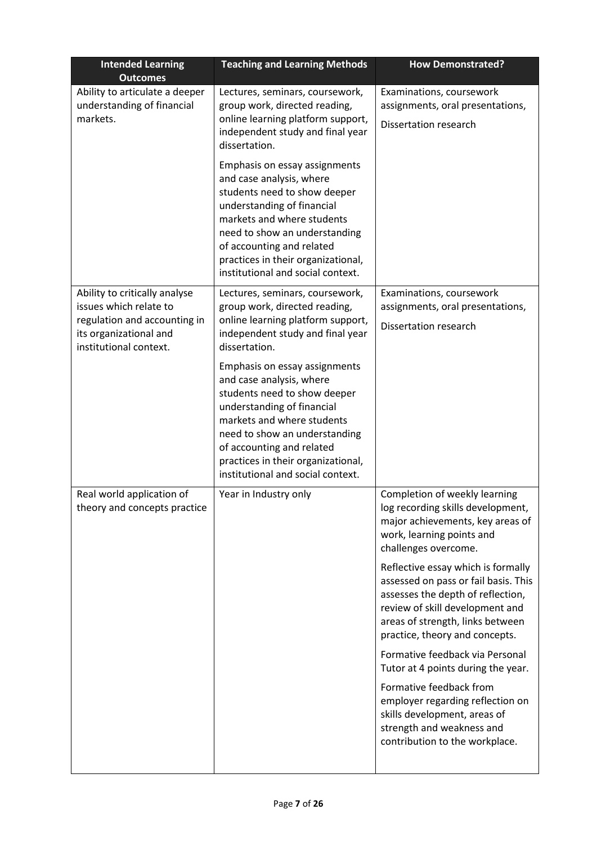| <b>Intended Learning</b><br><b>Outcomes</b>                                                                                                 | <b>Teaching and Learning Methods</b>                                                                                                                                                                                                                                                           | <b>How Demonstrated?</b>                                                                                                                                                                                                 |
|---------------------------------------------------------------------------------------------------------------------------------------------|------------------------------------------------------------------------------------------------------------------------------------------------------------------------------------------------------------------------------------------------------------------------------------------------|--------------------------------------------------------------------------------------------------------------------------------------------------------------------------------------------------------------------------|
| Ability to articulate a deeper<br>understanding of financial<br>markets.                                                                    | Lectures, seminars, coursework,<br>group work, directed reading,<br>online learning platform support,<br>independent study and final year<br>dissertation.                                                                                                                                     | Examinations, coursework<br>assignments, oral presentations,<br><b>Dissertation research</b>                                                                                                                             |
|                                                                                                                                             | Emphasis on essay assignments<br>and case analysis, where<br>students need to show deeper<br>understanding of financial<br>markets and where students<br>need to show an understanding<br>of accounting and related<br>practices in their organizational,<br>institutional and social context. |                                                                                                                                                                                                                          |
| Ability to critically analyse<br>issues which relate to<br>regulation and accounting in<br>its organizational and<br>institutional context. | Lectures, seminars, coursework,<br>group work, directed reading,<br>online learning platform support,<br>independent study and final year<br>dissertation.                                                                                                                                     | Examinations, coursework<br>assignments, oral presentations,<br><b>Dissertation research</b>                                                                                                                             |
|                                                                                                                                             | Emphasis on essay assignments<br>and case analysis, where<br>students need to show deeper<br>understanding of financial<br>markets and where students<br>need to show an understanding<br>of accounting and related<br>practices in their organizational,<br>institutional and social context. |                                                                                                                                                                                                                          |
| Real world application of<br>theory and concepts practice                                                                                   | Year in Industry only                                                                                                                                                                                                                                                                          | Completion of weekly learning<br>log recording skills development,<br>major achievements, key areas of<br>work, learning points and<br>challenges overcome.                                                              |
|                                                                                                                                             |                                                                                                                                                                                                                                                                                                | Reflective essay which is formally<br>assessed on pass or fail basis. This<br>assesses the depth of reflection,<br>review of skill development and<br>areas of strength, links between<br>practice, theory and concepts. |
|                                                                                                                                             |                                                                                                                                                                                                                                                                                                | Formative feedback via Personal<br>Tutor at 4 points during the year.                                                                                                                                                    |
|                                                                                                                                             |                                                                                                                                                                                                                                                                                                | Formative feedback from<br>employer regarding reflection on<br>skills development, areas of<br>strength and weakness and<br>contribution to the workplace.                                                               |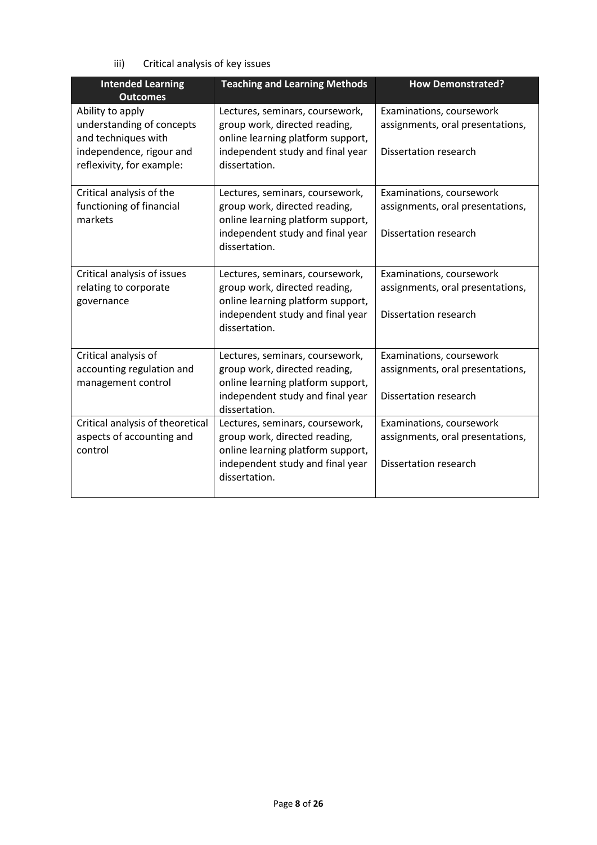iii) Critical analysis of key issues

| <b>Intended Learning</b><br><b>Outcomes</b>                          | <b>Teaching and Learning Methods</b>                                                                  | <b>How Demonstrated?</b>                                     |
|----------------------------------------------------------------------|-------------------------------------------------------------------------------------------------------|--------------------------------------------------------------|
| Ability to apply<br>understanding of concepts<br>and techniques with | Lectures, seminars, coursework,<br>group work, directed reading,<br>online learning platform support, | Examinations, coursework<br>assignments, oral presentations, |
| independence, rigour and<br>reflexivity, for example:                | independent study and final year<br>dissertation.                                                     | Dissertation research                                        |
| Critical analysis of the<br>functioning of financial<br>markets      | Lectures, seminars, coursework,<br>group work, directed reading,<br>online learning platform support, | Examinations, coursework<br>assignments, oral presentations, |
|                                                                      | independent study and final year<br>dissertation.                                                     | Dissertation research                                        |
| Critical analysis of issues<br>relating to corporate                 | Lectures, seminars, coursework,<br>group work, directed reading,                                      | Examinations, coursework<br>assignments, oral presentations, |
| governance                                                           | online learning platform support,<br>independent study and final year<br>dissertation.                | Dissertation research                                        |
| Critical analysis of<br>accounting regulation and                    | Lectures, seminars, coursework,<br>group work, directed reading,                                      | Examinations, coursework<br>assignments, oral presentations, |
| management control                                                   | online learning platform support,<br>independent study and final year<br>dissertation.                | Dissertation research                                        |
| Critical analysis of theoretical<br>aspects of accounting and        | Lectures, seminars, coursework,<br>group work, directed reading,                                      | Examinations, coursework<br>assignments, oral presentations, |
| control                                                              | online learning platform support,<br>independent study and final year<br>dissertation.                | Dissertation research                                        |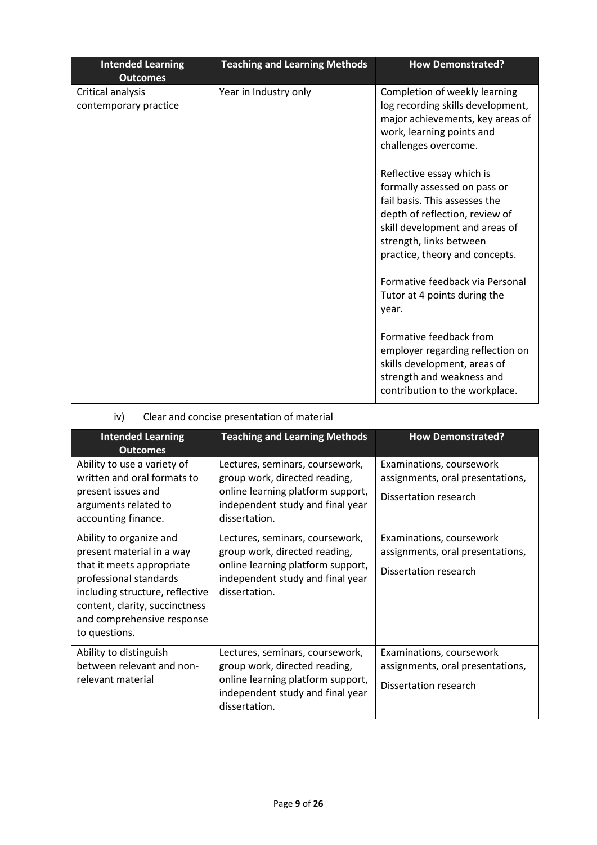| <b>Intended Learning</b><br><b>Outcomes</b> | <b>Teaching and Learning Methods</b> | <b>How Demonstrated?</b>                                                                                                                                                                                                    |
|---------------------------------------------|--------------------------------------|-----------------------------------------------------------------------------------------------------------------------------------------------------------------------------------------------------------------------------|
| Critical analysis<br>contemporary practice  | Year in Industry only                | Completion of weekly learning<br>log recording skills development,<br>major achievements, key areas of<br>work, learning points and<br>challenges overcome.                                                                 |
|                                             |                                      | Reflective essay which is<br>formally assessed on pass or<br>fail basis. This assesses the<br>depth of reflection, review of<br>skill development and areas of<br>strength, links between<br>practice, theory and concepts. |
|                                             |                                      | Formative feedback via Personal<br>Tutor at 4 points during the<br>year.                                                                                                                                                    |
|                                             |                                      | Formative feedback from<br>employer regarding reflection on<br>skills development, areas of<br>strength and weakness and<br>contribution to the workplace.                                                                  |

# iv) Clear and concise presentation of material

| <b>Intended Learning</b>                                                                                                                                                                                                        | <b>Teaching and Learning Methods</b>                                                                                                                       | <b>How Demonstrated?</b>                                                              |
|---------------------------------------------------------------------------------------------------------------------------------------------------------------------------------------------------------------------------------|------------------------------------------------------------------------------------------------------------------------------------------------------------|---------------------------------------------------------------------------------------|
| <b>Outcomes</b>                                                                                                                                                                                                                 |                                                                                                                                                            |                                                                                       |
| Ability to use a variety of<br>written and oral formats to<br>present issues and<br>arguments related to<br>accounting finance.                                                                                                 | Lectures, seminars, coursework,<br>group work, directed reading,<br>online learning platform support,<br>independent study and final year<br>dissertation. | Examinations, coursework<br>assignments, oral presentations,<br>Dissertation research |
| Ability to organize and<br>present material in a way<br>that it meets appropriate<br>professional standards<br>including structure, reflective<br>content, clarity, succinctness<br>and comprehensive response<br>to questions. | Lectures, seminars, coursework,<br>group work, directed reading,<br>online learning platform support,<br>independent study and final year<br>dissertation. | Examinations, coursework<br>assignments, oral presentations,<br>Dissertation research |
| Ability to distinguish<br>between relevant and non-<br>relevant material                                                                                                                                                        | Lectures, seminars, coursework,<br>group work, directed reading,<br>online learning platform support,<br>independent study and final year<br>dissertation. | Examinations, coursework<br>assignments, oral presentations,<br>Dissertation research |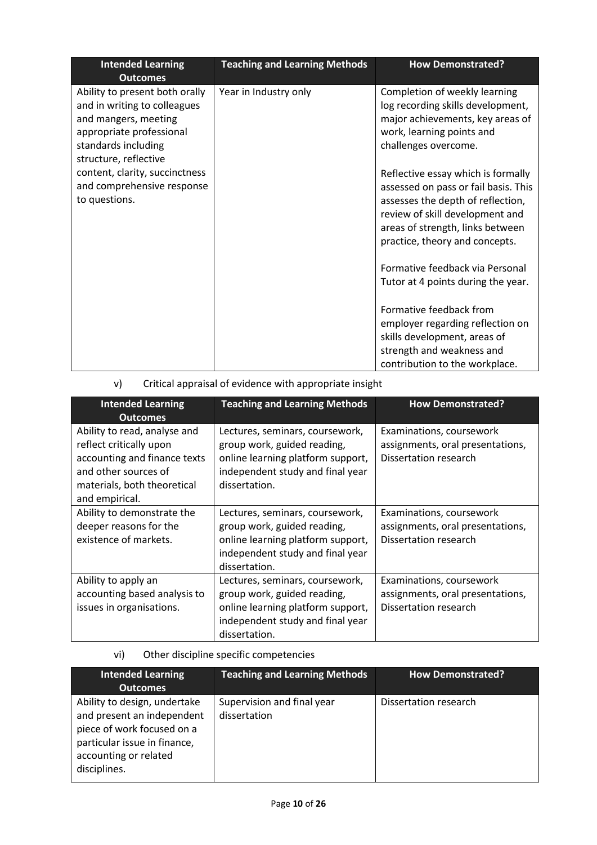| <b>Intended Learning</b><br><b>Outcomes</b>                                                                                                                        | <b>Teaching and Learning Methods</b> | <b>How Demonstrated?</b>                                                                                                                                                                                                 |
|--------------------------------------------------------------------------------------------------------------------------------------------------------------------|--------------------------------------|--------------------------------------------------------------------------------------------------------------------------------------------------------------------------------------------------------------------------|
| Ability to present both orally<br>and in writing to colleagues<br>and mangers, meeting<br>appropriate professional<br>standards including<br>structure, reflective | Year in Industry only                | Completion of weekly learning<br>log recording skills development,<br>major achievements, key areas of<br>work, learning points and<br>challenges overcome.                                                              |
| content, clarity, succinctness<br>and comprehensive response<br>to questions.                                                                                      |                                      | Reflective essay which is formally<br>assessed on pass or fail basis. This<br>assesses the depth of reflection,<br>review of skill development and<br>areas of strength, links between<br>practice, theory and concepts. |
|                                                                                                                                                                    |                                      | Formative feedback via Personal<br>Tutor at 4 points during the year.                                                                                                                                                    |
|                                                                                                                                                                    |                                      | Formative feedback from<br>employer regarding reflection on<br>skills development, areas of<br>strength and weakness and                                                                                                 |
|                                                                                                                                                                    |                                      | contribution to the workplace.                                                                                                                                                                                           |

v) Critical appraisal of evidence with appropriate insight

| <b>Intended Learning</b><br><b>Outcomes</b>                                                                                                                      | <b>Teaching and Learning Methods</b>                                                                                                                     | <b>How Demonstrated?</b>                                                              |
|------------------------------------------------------------------------------------------------------------------------------------------------------------------|----------------------------------------------------------------------------------------------------------------------------------------------------------|---------------------------------------------------------------------------------------|
| Ability to read, analyse and<br>reflect critically upon<br>accounting and finance texts<br>and other sources of<br>materials, both theoretical<br>and empirical. | Lectures, seminars, coursework,<br>group work, guided reading,<br>online learning platform support,<br>independent study and final year<br>dissertation. | Examinations, coursework<br>assignments, oral presentations,<br>Dissertation research |
| Ability to demonstrate the<br>deeper reasons for the<br>existence of markets.                                                                                    | Lectures, seminars, coursework,<br>group work, guided reading,<br>online learning platform support,<br>independent study and final year<br>dissertation. | Examinations, coursework<br>assignments, oral presentations,<br>Dissertation research |
| Ability to apply an<br>accounting based analysis to<br>issues in organisations.                                                                                  | Lectures, seminars, coursework,<br>group work, guided reading,<br>online learning platform support,<br>independent study and final year<br>dissertation. | Examinations, coursework<br>assignments, oral presentations,<br>Dissertation research |

# vi) Other discipline specific competencies

| <b>Teaching and Learning Methods</b> | <b>How Demonstrated?</b> |
|--------------------------------------|--------------------------|
|                                      |                          |
| Supervision and final year           | Dissertation research    |
| dissertation                         |                          |
|                                      |                          |
|                                      |                          |
|                                      |                          |
|                                      |                          |
|                                      |                          |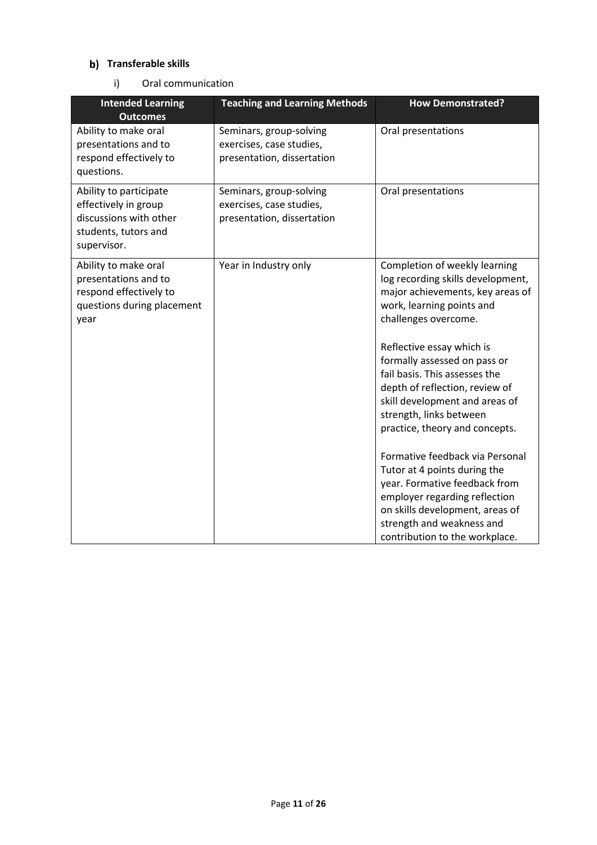### **b)** Transferable skills

i) Oral communication

| <b>Intended Learning</b><br><b>Outcomes</b>                                                                     | <b>Teaching and Learning Methods</b>                                              | <b>How Demonstrated?</b>                                                                                                                                                                                                                                                                                                                                                                                                                                                                                                                                                                                                          |
|-----------------------------------------------------------------------------------------------------------------|-----------------------------------------------------------------------------------|-----------------------------------------------------------------------------------------------------------------------------------------------------------------------------------------------------------------------------------------------------------------------------------------------------------------------------------------------------------------------------------------------------------------------------------------------------------------------------------------------------------------------------------------------------------------------------------------------------------------------------------|
| Ability to make oral<br>presentations and to<br>respond effectively to<br>questions.                            | Seminars, group-solving<br>exercises, case studies,<br>presentation, dissertation | Oral presentations                                                                                                                                                                                                                                                                                                                                                                                                                                                                                                                                                                                                                |
| Ability to participate<br>effectively in group<br>discussions with other<br>students, tutors and<br>supervisor. | Seminars, group-solving<br>exercises, case studies,<br>presentation, dissertation | Oral presentations                                                                                                                                                                                                                                                                                                                                                                                                                                                                                                                                                                                                                |
| Ability to make oral<br>presentations and to<br>respond effectively to<br>questions during placement<br>year    | Year in Industry only                                                             | Completion of weekly learning<br>log recording skills development,<br>major achievements, key areas of<br>work, learning points and<br>challenges overcome.<br>Reflective essay which is<br>formally assessed on pass or<br>fail basis. This assesses the<br>depth of reflection, review of<br>skill development and areas of<br>strength, links between<br>practice, theory and concepts.<br>Formative feedback via Personal<br>Tutor at 4 points during the<br>year. Formative feedback from<br>employer regarding reflection<br>on skills development, areas of<br>strength and weakness and<br>contribution to the workplace. |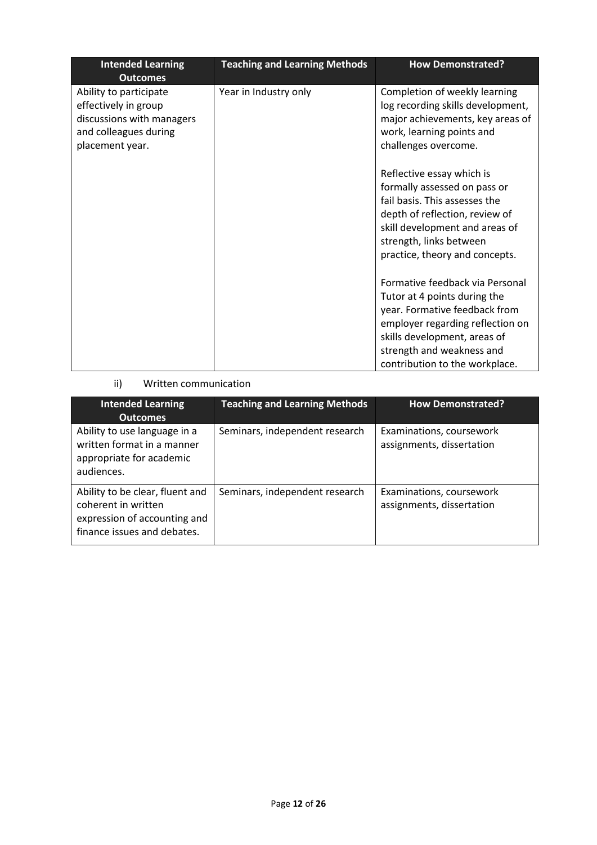| <b>Intended Learning</b><br><b>Outcomes</b>                                                                             | <b>Teaching and Learning Methods</b> | <b>How Demonstrated?</b>                                                                                                                                                                                                            |
|-------------------------------------------------------------------------------------------------------------------------|--------------------------------------|-------------------------------------------------------------------------------------------------------------------------------------------------------------------------------------------------------------------------------------|
| Ability to participate<br>effectively in group<br>discussions with managers<br>and colleagues during<br>placement year. | Year in Industry only                | Completion of weekly learning<br>log recording skills development,<br>major achievements, key areas of<br>work, learning points and<br>challenges overcome.                                                                         |
|                                                                                                                         |                                      | Reflective essay which is<br>formally assessed on pass or<br>fail basis. This assesses the<br>depth of reflection, review of<br>skill development and areas of<br>strength, links between<br>practice, theory and concepts.         |
|                                                                                                                         |                                      | Formative feedback via Personal<br>Tutor at 4 points during the<br>year. Formative feedback from<br>employer regarding reflection on<br>skills development, areas of<br>strength and weakness and<br>contribution to the workplace. |

### ii) Written communication

| <b>Intended Learning</b><br><b>Outcomes</b>                                                                           | <b>Teaching and Learning Methods</b> | <b>How Demonstrated?</b>                              |
|-----------------------------------------------------------------------------------------------------------------------|--------------------------------------|-------------------------------------------------------|
| Ability to use language in a<br>written format in a manner<br>appropriate for academic<br>audiences.                  | Seminars, independent research       | Examinations, coursework<br>assignments, dissertation |
| Ability to be clear, fluent and<br>coherent in written<br>expression of accounting and<br>finance issues and debates. | Seminars, independent research       | Examinations, coursework<br>assignments, dissertation |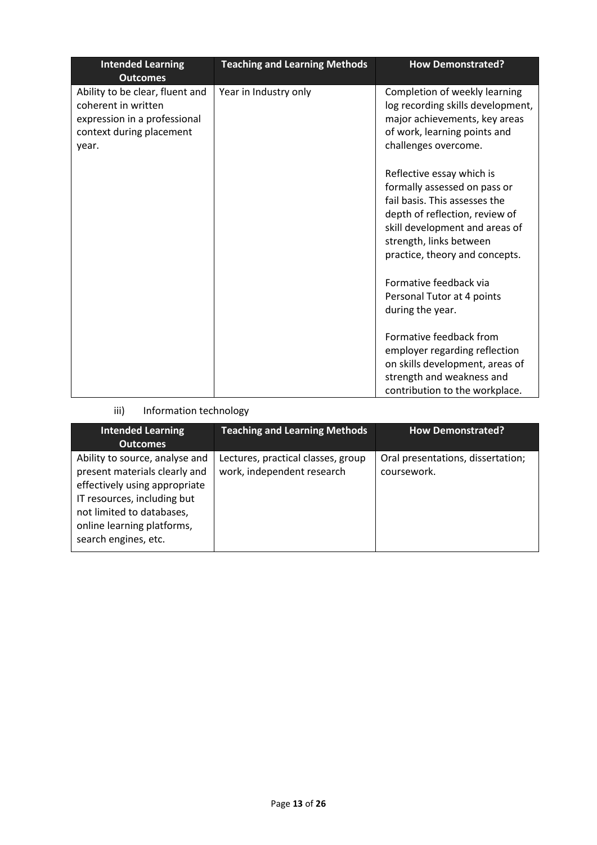| <b>Intended Learning</b><br><b>Outcomes</b>                                                                                 | <b>Teaching and Learning Methods</b> | <b>How Demonstrated?</b>                                                                                                                                                                                                    |
|-----------------------------------------------------------------------------------------------------------------------------|--------------------------------------|-----------------------------------------------------------------------------------------------------------------------------------------------------------------------------------------------------------------------------|
| Ability to be clear, fluent and<br>coherent in written<br>expression in a professional<br>context during placement<br>year. | Year in Industry only                | Completion of weekly learning<br>log recording skills development,<br>major achievements, key areas<br>of work, learning points and<br>challenges overcome.                                                                 |
|                                                                                                                             |                                      | Reflective essay which is<br>formally assessed on pass or<br>fail basis. This assesses the<br>depth of reflection, review of<br>skill development and areas of<br>strength, links between<br>practice, theory and concepts. |
|                                                                                                                             |                                      | Formative feedback via<br>Personal Tutor at 4 points<br>during the year.                                                                                                                                                    |
|                                                                                                                             |                                      | Formative feedback from<br>employer regarding reflection<br>on skills development, areas of<br>strength and weakness and<br>contribution to the workplace.                                                                  |

# iii) Information technology

| <b>Intended Learning</b><br><b>Outcomes</b>                                                                                                                                                                        | <b>Teaching and Learning Methods</b>                             | How Demonstrated?                                |
|--------------------------------------------------------------------------------------------------------------------------------------------------------------------------------------------------------------------|------------------------------------------------------------------|--------------------------------------------------|
| Ability to source, analyse and<br>present materials clearly and<br>effectively using appropriate<br>IT resources, including but<br>not limited to databases,<br>online learning platforms,<br>search engines, etc. | Lectures, practical classes, group<br>work, independent research | Oral presentations, dissertation;<br>coursework. |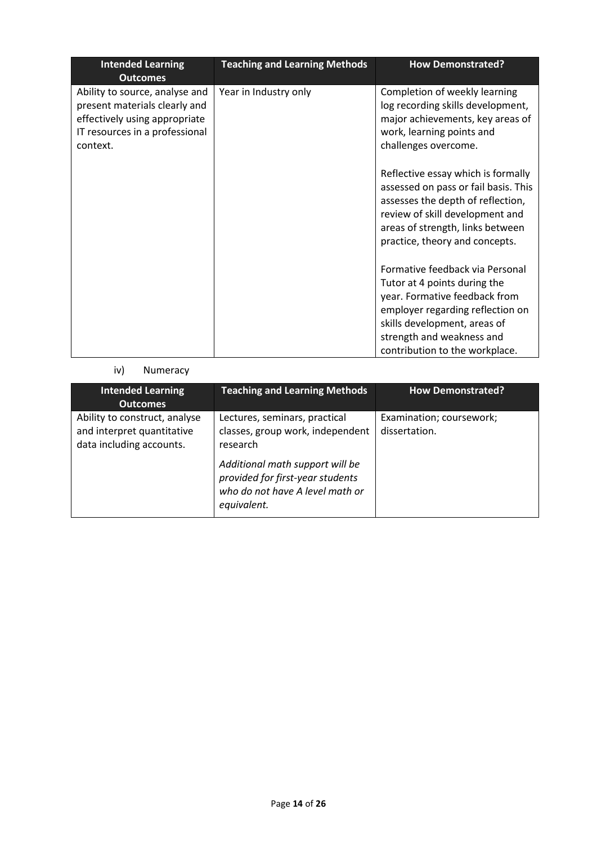| <b>Intended Learning</b><br><b>Outcomes</b>                                                                                                    | <b>Teaching and Learning Methods</b> | <b>How Demonstrated?</b>                                                                                                                                                                                                            |
|------------------------------------------------------------------------------------------------------------------------------------------------|--------------------------------------|-------------------------------------------------------------------------------------------------------------------------------------------------------------------------------------------------------------------------------------|
| Ability to source, analyse and<br>present materials clearly and<br>effectively using appropriate<br>IT resources in a professional<br>context. | Year in Industry only                | Completion of weekly learning<br>log recording skills development,<br>major achievements, key areas of<br>work, learning points and<br>challenges overcome.                                                                         |
|                                                                                                                                                |                                      | Reflective essay which is formally<br>assessed on pass or fail basis. This<br>assesses the depth of reflection,<br>review of skill development and<br>areas of strength, links between<br>practice, theory and concepts.            |
|                                                                                                                                                |                                      | Formative feedback via Personal<br>Tutor at 4 points during the<br>year. Formative feedback from<br>employer regarding reflection on<br>skills development, areas of<br>strength and weakness and<br>contribution to the workplace. |

# iv) Numeracy

| <b>Intended Learning</b><br><b>Outcomes</b>                                             | <b>Teaching and Learning Methods</b>                                                                                  | <b>How Demonstrated?</b>                  |
|-----------------------------------------------------------------------------------------|-----------------------------------------------------------------------------------------------------------------------|-------------------------------------------|
| Ability to construct, analyse<br>and interpret quantitative<br>data including accounts. | Lectures, seminars, practical<br>classes, group work, independent<br>research                                         | Examination; coursework;<br>dissertation. |
|                                                                                         | Additional math support will be<br>provided for first-year students<br>who do not have A level math or<br>equivalent. |                                           |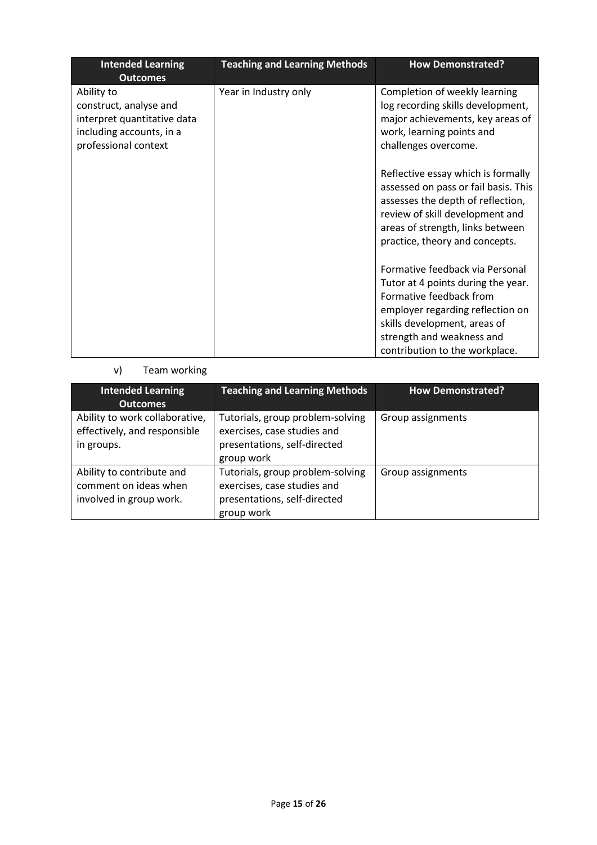| <b>Intended Learning</b><br><b>Outcomes</b>                                                                             | <b>Teaching and Learning Methods</b> | <b>How Demonstrated?</b>                                                                                                                                                                                                 |
|-------------------------------------------------------------------------------------------------------------------------|--------------------------------------|--------------------------------------------------------------------------------------------------------------------------------------------------------------------------------------------------------------------------|
| Ability to<br>construct, analyse and<br>interpret quantitative data<br>including accounts, in a<br>professional context | Year in Industry only                | Completion of weekly learning<br>log recording skills development,<br>major achievements, key areas of<br>work, learning points and<br>challenges overcome.                                                              |
|                                                                                                                         |                                      | Reflective essay which is formally<br>assessed on pass or fail basis. This<br>assesses the depth of reflection,<br>review of skill development and<br>areas of strength, links between<br>practice, theory and concepts. |
|                                                                                                                         |                                      | Formative feedback via Personal<br>Tutor at 4 points during the year.<br>Formative feedback from<br>employer regarding reflection on                                                                                     |
|                                                                                                                         |                                      | skills development, areas of<br>strength and weakness and<br>contribution to the workplace.                                                                                                                              |

### v) Team working

| <b>Intended Learning</b><br><b>Outcomes</b>                                   | <b>Teaching and Learning Methods</b>                                                                          | <b>How Demonstrated?</b> |
|-------------------------------------------------------------------------------|---------------------------------------------------------------------------------------------------------------|--------------------------|
| Ability to work collaborative,<br>effectively, and responsible<br>in groups.  | Tutorials, group problem-solving<br>exercises, case studies and<br>presentations, self-directed<br>group work | Group assignments        |
| Ability to contribute and<br>comment on ideas when<br>involved in group work. | Tutorials, group problem-solving<br>exercises, case studies and<br>presentations, self-directed<br>group work | Group assignments        |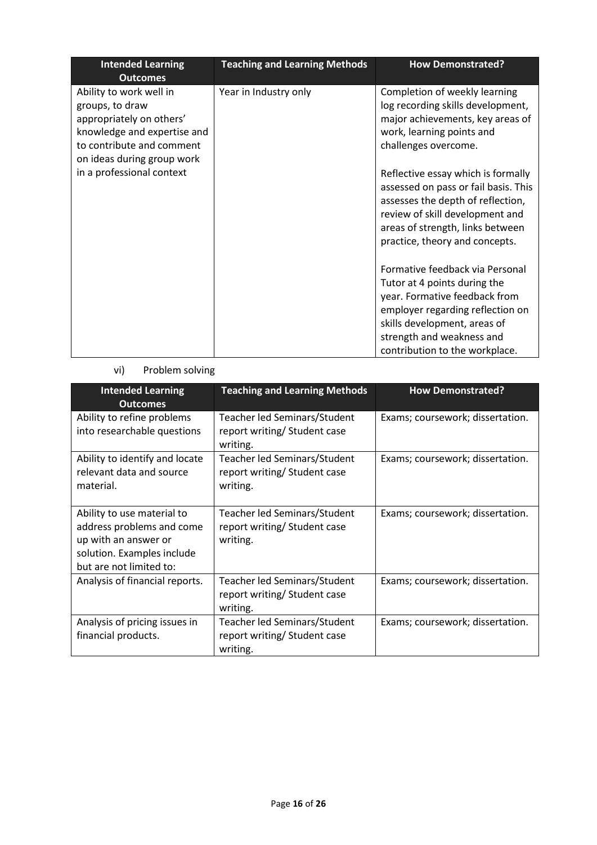| <b>Intended Learning</b><br><b>Outcomes</b>                                                                                                                      | <b>Teaching and Learning Methods</b> | <b>How Demonstrated?</b>                                                                                                                                                                                                            |
|------------------------------------------------------------------------------------------------------------------------------------------------------------------|--------------------------------------|-------------------------------------------------------------------------------------------------------------------------------------------------------------------------------------------------------------------------------------|
| Ability to work well in<br>groups, to draw<br>appropriately on others'<br>knowledge and expertise and<br>to contribute and comment<br>on ideas during group work | Year in Industry only                | Completion of weekly learning<br>log recording skills development,<br>major achievements, key areas of<br>work, learning points and<br>challenges overcome.                                                                         |
| in a professional context                                                                                                                                        |                                      | Reflective essay which is formally<br>assessed on pass or fail basis. This<br>assesses the depth of reflection,<br>review of skill development and<br>areas of strength, links between<br>practice, theory and concepts.            |
|                                                                                                                                                                  |                                      | Formative feedback via Personal<br>Tutor at 4 points during the<br>year. Formative feedback from<br>employer regarding reflection on<br>skills development, areas of<br>strength and weakness and<br>contribution to the workplace. |

### vi) Problem solving

| <b>Intended Learning</b><br><b>Outcomes</b>                                                                                              | <b>Teaching and Learning Methods</b>                                     | <b>How Demonstrated?</b>         |
|------------------------------------------------------------------------------------------------------------------------------------------|--------------------------------------------------------------------------|----------------------------------|
| Ability to refine problems<br>into researchable questions                                                                                | Teacher led Seminars/Student<br>report writing/ Student case<br>writing. | Exams; coursework; dissertation. |
| Ability to identify and locate<br>relevant data and source<br>material.                                                                  | Teacher led Seminars/Student<br>report writing/Student case<br>writing.  | Exams; coursework; dissertation. |
| Ability to use material to<br>address problems and come<br>up with an answer or<br>solution. Examples include<br>but are not limited to: | Teacher led Seminars/Student<br>report writing/Student case<br>writing.  | Exams; coursework; dissertation. |
| Analysis of financial reports.                                                                                                           | Teacher led Seminars/Student<br>report writing/Student case<br>writing.  | Exams; coursework; dissertation. |
| Analysis of pricing issues in<br>financial products.                                                                                     | Teacher led Seminars/Student<br>report writing/Student case<br>writing.  | Exams; coursework; dissertation. |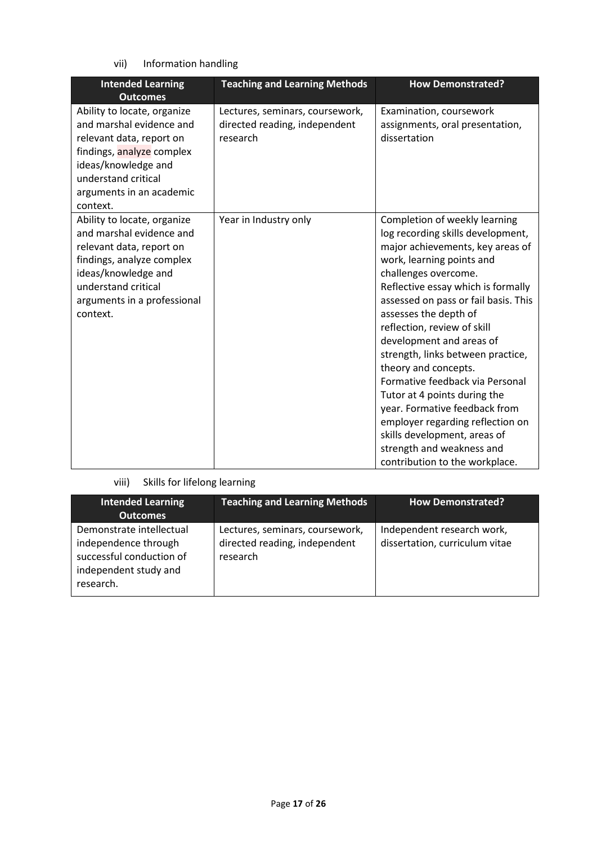vii) Information handling

| <b>Intended Learning</b><br><b>Outcomes</b>                                                                                                                                                               | <b>Teaching and Learning Methods</b>                                         | <b>How Demonstrated?</b>                                                                                                                                                                                                                                                                                                                                                                                                                                                                                                                                                                                                          |
|-----------------------------------------------------------------------------------------------------------------------------------------------------------------------------------------------------------|------------------------------------------------------------------------------|-----------------------------------------------------------------------------------------------------------------------------------------------------------------------------------------------------------------------------------------------------------------------------------------------------------------------------------------------------------------------------------------------------------------------------------------------------------------------------------------------------------------------------------------------------------------------------------------------------------------------------------|
| Ability to locate, organize<br>and marshal evidence and<br>relevant data, report on<br>findings, analyze complex<br>ideas/knowledge and<br>understand critical<br>arguments in an academic<br>context.    | Lectures, seminars, coursework,<br>directed reading, independent<br>research | Examination, coursework<br>assignments, oral presentation,<br>dissertation                                                                                                                                                                                                                                                                                                                                                                                                                                                                                                                                                        |
| Ability to locate, organize<br>and marshal evidence and<br>relevant data, report on<br>findings, analyze complex<br>ideas/knowledge and<br>understand critical<br>arguments in a professional<br>context. | Year in Industry only                                                        | Completion of weekly learning<br>log recording skills development,<br>major achievements, key areas of<br>work, learning points and<br>challenges overcome.<br>Reflective essay which is formally<br>assessed on pass or fail basis. This<br>assesses the depth of<br>reflection, review of skill<br>development and areas of<br>strength, links between practice,<br>theory and concepts.<br>Formative feedback via Personal<br>Tutor at 4 points during the<br>year. Formative feedback from<br>employer regarding reflection on<br>skills development, areas of<br>strength and weakness and<br>contribution to the workplace. |

# viii) Skills for lifelong learning

| <b>Intended Learning</b><br><b>Outcomes</b>                                                                        | <b>Teaching and Learning Methods</b>                                         | <b>How Demonstrated?</b>                                     |
|--------------------------------------------------------------------------------------------------------------------|------------------------------------------------------------------------------|--------------------------------------------------------------|
| Demonstrate intellectual<br>independence through<br>successful conduction of<br>independent study and<br>research. | Lectures, seminars, coursework,<br>directed reading, independent<br>research | Independent research work,<br>dissertation, curriculum vitae |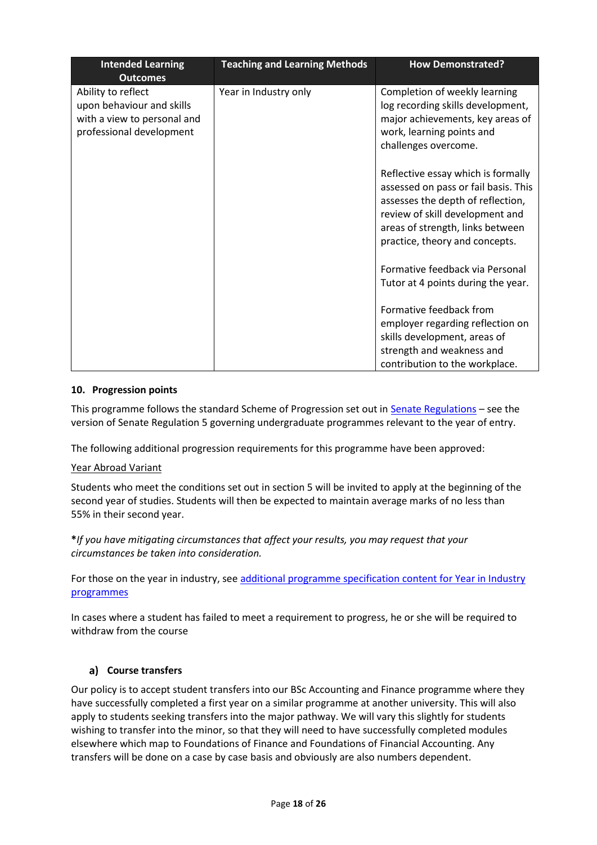| <b>Intended Learning</b><br><b>Outcomes</b>                                                                | <b>Teaching and Learning Methods</b> | <b>How Demonstrated?</b>                                                                                                                                                                                                 |
|------------------------------------------------------------------------------------------------------------|--------------------------------------|--------------------------------------------------------------------------------------------------------------------------------------------------------------------------------------------------------------------------|
| Ability to reflect<br>upon behaviour and skills<br>with a view to personal and<br>professional development | Year in Industry only                | Completion of weekly learning<br>log recording skills development,<br>major achievements, key areas of<br>work, learning points and<br>challenges overcome.                                                              |
|                                                                                                            |                                      | Reflective essay which is formally<br>assessed on pass or fail basis. This<br>assesses the depth of reflection,<br>review of skill development and<br>areas of strength, links between<br>practice, theory and concepts. |
|                                                                                                            |                                      | Formative feedback via Personal<br>Tutor at 4 points during the year.                                                                                                                                                    |
|                                                                                                            |                                      | Formative feedback from<br>employer regarding reflection on                                                                                                                                                              |
|                                                                                                            |                                      | skills development, areas of<br>strength and weakness and<br>contribution to the workplace.                                                                                                                              |

#### **10. Progression points**

This programme follows the standard Scheme of Progression set out i[n Senate Regulations](http://www.le.ac.uk/senate-regulations) - see the version of Senate Regulation 5 governing undergraduate programmes relevant to the year of entry.

The following additional progression requirements for this programme have been approved:

#### Year Abroad Variant

Students who meet the conditions set out in section 5 will be invited to apply at the beginning of the second year of studies. Students will then be expected to maintain average marks of no less than 55% in their second year.

#### **\****If you have mitigating circumstances that affect your results, you may request that your circumstances be taken into consideration.*

For those on the year in industry, see additional programme specification content for Year in Industry [programmes](https://www2.le.ac.uk/offices/sas2/courses/documentation/undergraduate-programme-specification-content-for-year-in-industry-programme-variants)

In cases where a student has failed to meet a requirement to progress, he or she will be required to withdraw from the course

### **Course transfers**

Our policy is to accept student transfers into our BSc Accounting and Finance programme where they have successfully completed a first year on a similar programme at another university. This will also apply to students seeking transfers into the major pathway. We will vary this slightly for students wishing to transfer into the minor, so that they will need to have successfully completed modules elsewhere which map to Foundations of Finance and Foundations of Financial Accounting. Any transfers will be done on a case by case basis and obviously are also numbers dependent.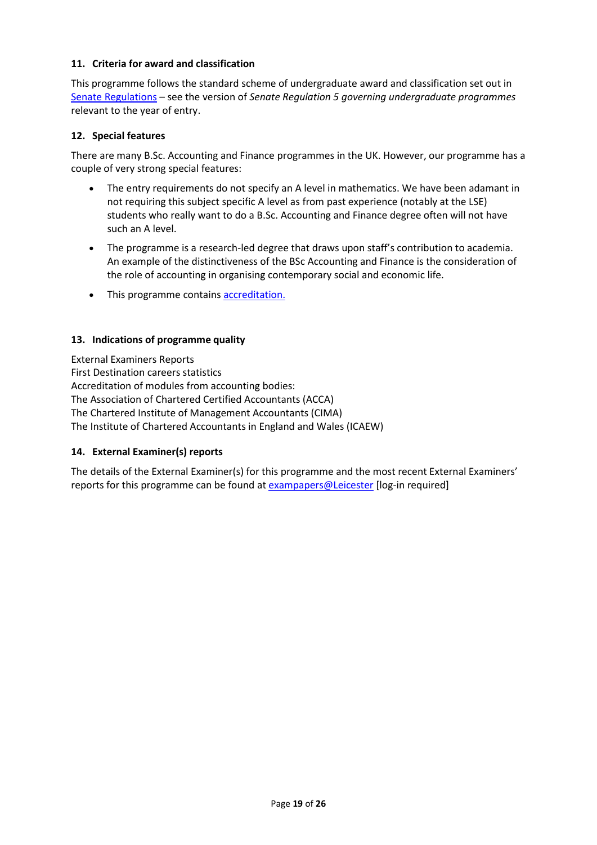#### **11. Criteria for award and classification**

This programme follows the standard scheme of undergraduate award and classification set out in [Senate Regulations](http://www.le.ac.uk/senate-regulations) – see the version of *Senate Regulation 5 governing undergraduate programmes* relevant to the year of entry.

#### **12. Special features**

There are many B.Sc. Accounting and Finance programmes in the UK. However, our programme has a couple of very strong special features:

- The entry requirements do not specify an A level in mathematics. We have been adamant in not requiring this subject specific A level as from past experience (notably at the LSE) students who really want to do a B.Sc. Accounting and Finance degree often will not have such an A level.
- The programme is a research-led degree that draws upon staff's contribution to academia. An example of the distinctiveness of the BSc Accounting and Finance is the consideration of the role of accounting in organising contemporary social and economic life.
- This programme contains accreditation.

#### **13. Indications of programme quality**

External Examiners Reports First Destination careers statistics Accreditation of modules from accounting bodies: The Association of Chartered Certified Accountants (ACCA) The Chartered Institute of Management Accountants (CIMA) The Institute of Chartered Accountants in England and Wales (ICAEW)

#### **14. External Examiner(s) reports**

The details of the External Examiner(s) for this programme and the most recent External Examiners' reports for this programme can be found at [exampapers@Leicester](https://exampapers.le.ac.uk/) [log-in required]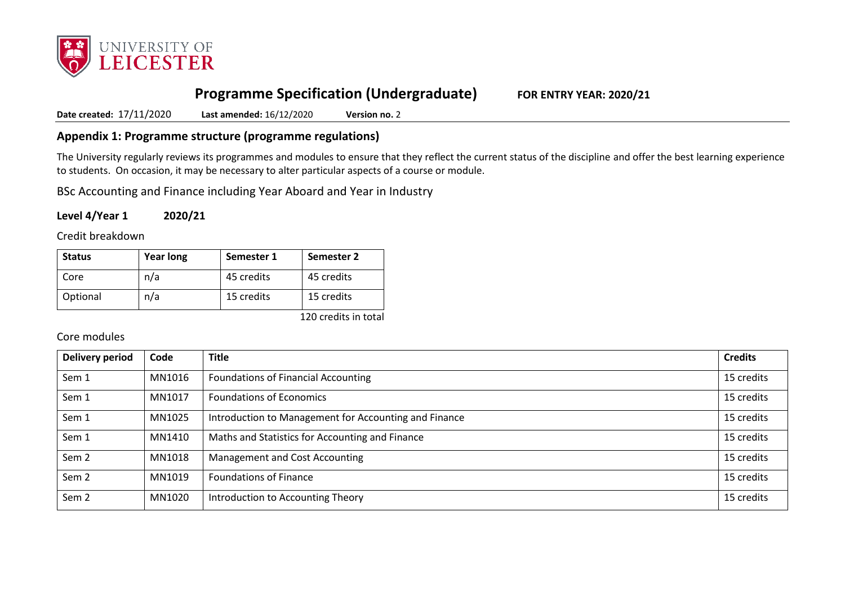

# **Programme Specification (Undergraduate) FOR ENTRY YEAR: 2020/21**

**Date created:** 17/11/2020 **Last amended:** 16/12/2020 **Version no.** 2

### **Appendix 1: Programme structure (programme regulations)**

The University regularly reviews its programmes and modules to ensure that they reflect the current status of the discipline and offer the best learning experience to students. On occasion, it may be necessary to alter particular aspects of a course or module.

BSc Accounting and Finance including Year Aboard and Year in Industry

**Level 4/Year 1 2020/21**

Credit breakdown

| <b>Status</b> | <b>Year long</b> | Semester 1 | <b>Semester 2</b> |
|---------------|------------------|------------|-------------------|
| Core          | n/a              | 45 credits | 45 credits        |
| Optional      | n/a              | 15 credits | 15 credits        |

120 credits in total

#### Core modules

| <b>Delivery period</b> | Code   | <b>Title</b>                                          | <b>Credits</b> |
|------------------------|--------|-------------------------------------------------------|----------------|
| Sem 1                  | MN1016 | <b>Foundations of Financial Accounting</b>            | 15 credits     |
| Sem 1                  | MN1017 | <b>Foundations of Economics</b>                       | 15 credits     |
| Sem 1                  | MN1025 | Introduction to Management for Accounting and Finance | 15 credits     |
| Sem 1                  | MN1410 | Maths and Statistics for Accounting and Finance       | 15 credits     |
| Sem <sub>2</sub>       | MN1018 | Management and Cost Accounting                        | 15 credits     |
| Sem <sub>2</sub>       | MN1019 | <b>Foundations of Finance</b>                         | 15 credits     |
| Sem <sub>2</sub>       | MN1020 | Introduction to Accounting Theory                     | 15 credits     |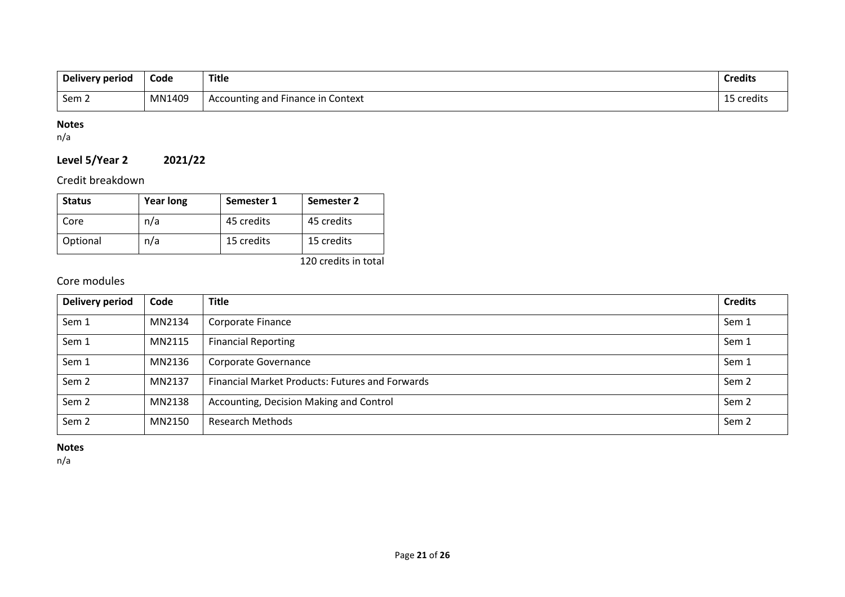| Delivery period | Code   | <b>Title</b>                      | <b>Credits</b> |
|-----------------|--------|-----------------------------------|----------------|
| Sem 2           | MN1409 | Accounting and Finance in Context | 15 credits     |

# **Notes**

n/a

# **Level 5/Year 2 2021/22**

Credit breakdown

| <b>Status</b> | <b>Year long</b> | Semester 1 | Semester 2 |
|---------------|------------------|------------|------------|
| Core          | n/a              | 45 credits | 45 credits |
| Optional      | n/a              | 15 credits | 15 credits |

120 credits in total

# Core modules

| <b>Delivery period</b> | Code   | <b>Title</b>                                           | <b>Credits</b>   |
|------------------------|--------|--------------------------------------------------------|------------------|
| Sem 1                  | MN2134 | Corporate Finance                                      | Sem 1            |
| Sem 1                  | MN2115 | <b>Financial Reporting</b>                             | Sem 1            |
| Sem 1                  | MN2136 | Corporate Governance                                   | Sem 1            |
| Sem <sub>2</sub>       | MN2137 | <b>Financial Market Products: Futures and Forwards</b> | Sem <sub>2</sub> |
| Sem 2                  | MN2138 | Accounting, Decision Making and Control                | Sem 2            |
| Sem <sub>2</sub>       | MN2150 | <b>Research Methods</b>                                | Sem <sub>2</sub> |

#### **Notes**

n/a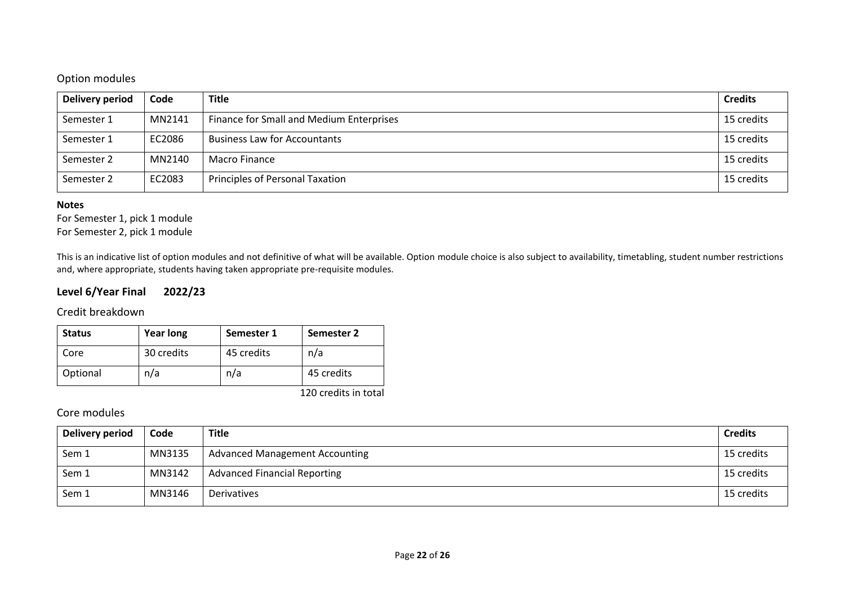## Option modules

| Delivery period | Code   | <b>Title</b>                             | <b>Credits</b> |
|-----------------|--------|------------------------------------------|----------------|
| Semester 1      | MN2141 | Finance for Small and Medium Enterprises | 15 credits     |
| Semester 1      | EC2086 | <b>Business Law for Accountants</b>      | 15 credits     |
| Semester 2      | MN2140 | Macro Finance                            | 15 credits     |
| Semester 2      | EC2083 | Principles of Personal Taxation          | 15 credits     |

#### **Notes**

For Semester 1, pick 1 module For Semester 2, pick 1 module

This is an indicative list of option modules and not definitive of what will be available. Option module choice is also subject to availability, timetabling, student number restrictions and, where appropriate, students having taken appropriate pre-requisite modules.

## **Level 6/Year Final 2022/23**

### Credit breakdown

| <b>Status</b> | <b>Year long</b> | Semester 1 | Semester 2 |
|---------------|------------------|------------|------------|
| Core          | 30 credits       | 45 credits | n/a        |
| Optional      | n/a              | n/a        | 45 credits |

120 credits in total

# Core modules

| Delivery period | Code   | <b>Title</b>                          | <b>Credits</b> |
|-----------------|--------|---------------------------------------|----------------|
| Sem 1           | MN3135 | <b>Advanced Management Accounting</b> | 15 credits     |
| Sem 1           | MN3142 | <b>Advanced Financial Reporting</b>   | 15 credits     |
| Sem 1           | MN3146 | Derivatives                           | 15 credits     |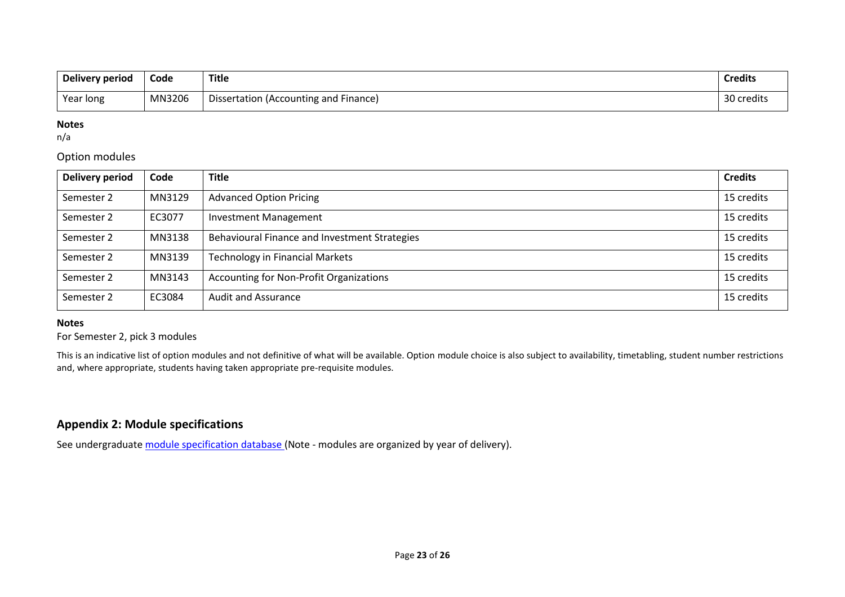| <b>Delivery period</b> | Code   | <b>Title</b>                          | <b>Credits</b> |
|------------------------|--------|---------------------------------------|----------------|
| Year long              | MN3206 | Dissertation (Accounting and Finance) | 30 credits     |

#### **Notes**

n/a

#### Option modules

| <b>Delivery period</b> | Code   | <b>Title</b>                                  | <b>Credits</b> |
|------------------------|--------|-----------------------------------------------|----------------|
| Semester 2             | MN3129 | <b>Advanced Option Pricing</b>                | 15 credits     |
| Semester 2             | EC3077 | <b>Investment Management</b>                  | 15 credits     |
| Semester 2             | MN3138 | Behavioural Finance and Investment Strategies | 15 credits     |
| Semester 2             | MN3139 | <b>Technology in Financial Markets</b>        | 15 credits     |
| Semester 2             | MN3143 | Accounting for Non-Profit Organizations       | 15 credits     |
| Semester 2             | EC3084 | <b>Audit and Assurance</b>                    | 15 credits     |

#### **Notes**

#### For Semester 2, pick 3 modules

This is an indicative list of option modules and not definitive of what will be available. Option module choice is also subject to availability, timetabling, student number restrictions and, where appropriate, students having taken appropriate pre-requisite modules.

## **Appendix 2: Module specifications**

See undergraduat[e module specification database](http://www.le.ac.uk/sas/courses/documentation) (Note - modules are organized by year of delivery).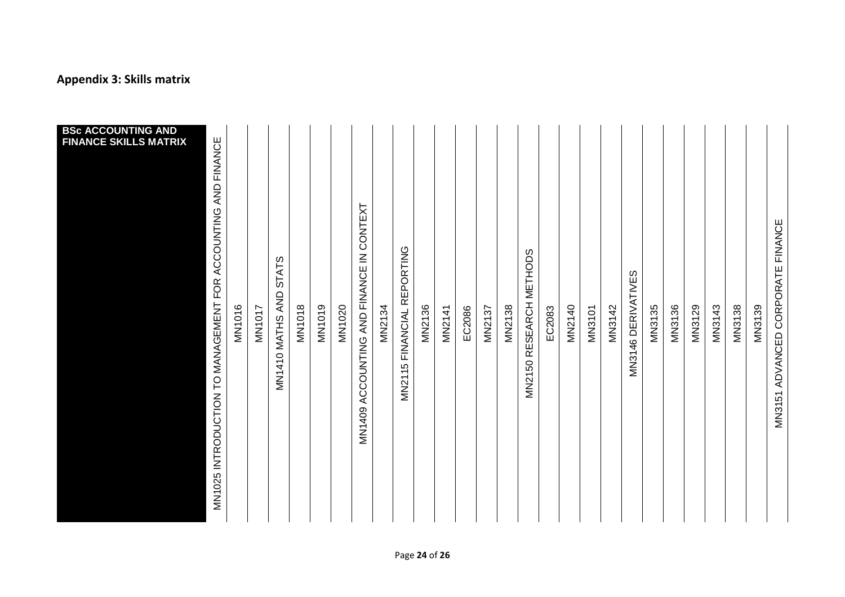# **Appendix 3: Skills matrix**

| <b>BSc ACCOUNTING AND</b><br><b>FINANCE SKILLS MATRIX</b> | MN1025 INTRODUCTION TO MANAGEMENT FOR ACCOUNTING AND FINANCE | <b>MN1016</b> | <b>MN1017</b> | MN1410 MATHS AND STATS | <b>MN1018</b> | <b>MN1019</b> | MN1020 | MN1409 ACCOUNTING AND FINANCE IN CONTEXT | MN2134 | MN2115 FINANCIAL REPORTING | MN2136 | MN2141 | EC2086 | <b>MN2137</b> | <b>MN2138</b> | MN2150 RESEARCH METHODS | EC2083 | MN2140 | <b>MN3101</b> | MN3142 | MN3146 DERIVATIVES | MN3135 | MN3136 | <b>MN3129</b> | MN3143 | <b>MN3138</b> | MN3139 | MN3151 ADVANCED CORPORATE FINANCE |
|-----------------------------------------------------------|--------------------------------------------------------------|---------------|---------------|------------------------|---------------|---------------|--------|------------------------------------------|--------|----------------------------|--------|--------|--------|---------------|---------------|-------------------------|--------|--------|---------------|--------|--------------------|--------|--------|---------------|--------|---------------|--------|-----------------------------------|
|-----------------------------------------------------------|--------------------------------------------------------------|---------------|---------------|------------------------|---------------|---------------|--------|------------------------------------------|--------|----------------------------|--------|--------|--------|---------------|---------------|-------------------------|--------|--------|---------------|--------|--------------------|--------|--------|---------------|--------|---------------|--------|-----------------------------------|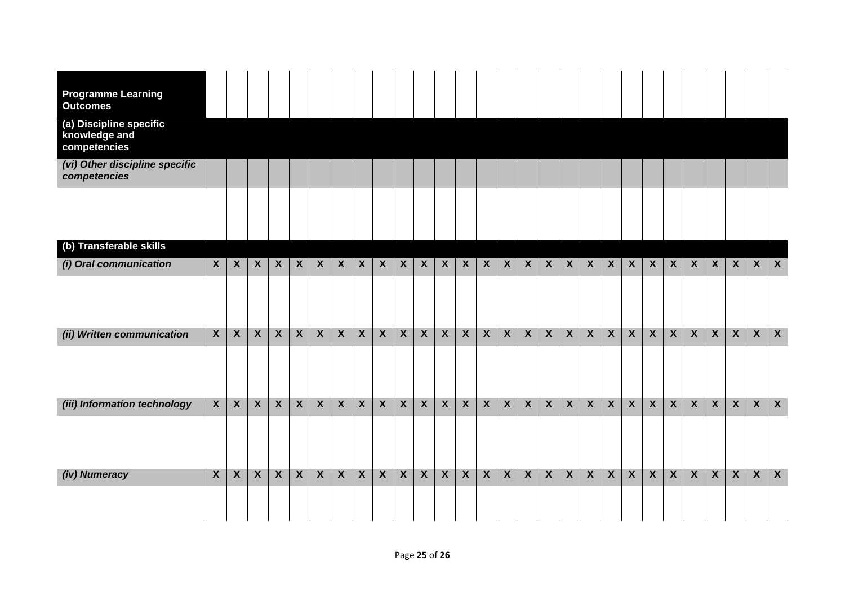| <b>Programme Learning</b><br><b>Outcomes</b>             |                  |                  |                  |                  |                  |                  |                  |                  |                         |                  |                  |                  |                  |                  |                  |                  |                         |                  |                  |                  |                  |                  |                  |                  |                         |                  |                  |              |
|----------------------------------------------------------|------------------|------------------|------------------|------------------|------------------|------------------|------------------|------------------|-------------------------|------------------|------------------|------------------|------------------|------------------|------------------|------------------|-------------------------|------------------|------------------|------------------|------------------|------------------|------------------|------------------|-------------------------|------------------|------------------|--------------|
| (a) Discipline specific<br>knowledge and<br>competencies |                  |                  |                  |                  |                  |                  |                  |                  |                         |                  |                  |                  |                  |                  |                  |                  |                         |                  |                  |                  |                  |                  |                  |                  |                         |                  |                  |              |
| (vi) Other discipline specific<br>competencies           |                  |                  |                  |                  |                  |                  |                  |                  |                         |                  |                  |                  |                  |                  |                  |                  |                         |                  |                  |                  |                  |                  |                  |                  |                         |                  |                  |              |
|                                                          |                  |                  |                  |                  |                  |                  |                  |                  |                         |                  |                  |                  |                  |                  |                  |                  |                         |                  |                  |                  |                  |                  |                  |                  |                         |                  |                  |              |
| (b) Transferable skills                                  |                  |                  |                  |                  |                  |                  |                  |                  |                         |                  |                  |                  |                  |                  |                  |                  |                         |                  |                  |                  |                  |                  |                  |                  |                         |                  |                  |              |
| (i) Oral communication                                   | $\boldsymbol{X}$ | $\boldsymbol{X}$ | $\boldsymbol{X}$ | $\boldsymbol{X}$ | $\boldsymbol{X}$ | $\boldsymbol{X}$ | $\boldsymbol{X}$ | $\boldsymbol{X}$ | $\boldsymbol{X}$        | $\boldsymbol{X}$ | $\boldsymbol{X}$ | $\boldsymbol{X}$ | $\boldsymbol{X}$ | $\boldsymbol{X}$ | $\boldsymbol{X}$ | $\boldsymbol{X}$ | $\boldsymbol{X}$        | $\boldsymbol{X}$ | $\boldsymbol{X}$ | $\boldsymbol{X}$ | $\boldsymbol{X}$ | $\boldsymbol{X}$ | $\boldsymbol{X}$ | $\boldsymbol{X}$ | $\boldsymbol{X}$        | $\boldsymbol{X}$ | $\boldsymbol{X}$ | $\mathsf{X}$ |
|                                                          |                  |                  |                  |                  |                  |                  |                  |                  |                         |                  |                  |                  |                  |                  |                  |                  |                         |                  |                  |                  |                  |                  |                  |                  |                         |                  |                  |              |
| (ii) Written communication                               | $\boldsymbol{X}$ | $\boldsymbol{X}$ | $\boldsymbol{X}$ | $\mathbf{X}$     | $\mathsf{X}$     | $\mathsf{X}$     | $\boldsymbol{X}$ | $\mathsf{X}$     | $\mathbf{X}$            | $\mathbf{X}$     | $\boldsymbol{X}$ | $\mathsf{X}$     | $\mathsf{X}$     | $\boldsymbol{X}$ | $\boldsymbol{X}$ | $\mathbf{x}$     | $\boldsymbol{X}$        | $\boldsymbol{X}$ | $\boldsymbol{X}$ | $\mathbf{x}$     | $\mathsf{X}$     | $\mathsf{X}$     | $\mathbf{X}$     | $\boldsymbol{X}$ | $\mathbf{X}$            | $\mathbf{X}$     | $\boldsymbol{X}$ | $\mathsf{X}$ |
|                                                          |                  |                  |                  |                  |                  |                  |                  |                  |                         |                  |                  |                  |                  |                  |                  |                  |                         |                  |                  |                  |                  |                  |                  |                  |                         |                  |                  |              |
| (iii) Information technology                             | $\mathsf{X}$     | $\boldsymbol{X}$ | $\boldsymbol{X}$ | $\mathbf{x}$     | $\mathsf{X}$     | $\mathsf{X}$     | $\boldsymbol{X}$ | $\mathsf{X}$     | $\mathsf{X}$            | $\boldsymbol{X}$ | $\boldsymbol{X}$ | $\mathsf{X}$     | $\mathsf{X}$     | $\mathsf{X}$     | $\boldsymbol{X}$ | $\mathbf{x}$     | $\boldsymbol{X}$        | $\boldsymbol{X}$ | $\boldsymbol{X}$ | $\boldsymbol{X}$ | $\mathsf{X}$     | $\mathsf{X}$     | $\boldsymbol{X}$ | $\boldsymbol{X}$ | $\boldsymbol{X}$        | $\boldsymbol{X}$ | $\boldsymbol{X}$ | $\mathbf{X}$ |
|                                                          |                  |                  |                  |                  |                  |                  |                  |                  |                         |                  |                  |                  |                  |                  |                  |                  |                         |                  |                  |                  |                  |                  |                  |                  |                         |                  |                  |              |
| (iv) Numeracy                                            | $\boldsymbol{X}$ | $\boldsymbol{X}$ | $\boldsymbol{X}$ | $\mathbf{x}$     | $\mathsf{X}$     | $\mathsf{X}$     | $\boldsymbol{X}$ | $\mathsf{X}$     | $\overline{\mathbf{X}}$ | $\boldsymbol{X}$ | $\boldsymbol{X}$ | $\mathsf{x}$     | $\mathsf{X}$     | $\mathbf{X}$     | $\boldsymbol{X}$ | $\mathbf{X}$     | $\overline{\mathbf{X}}$ | $\boldsymbol{X}$ | $\boldsymbol{X}$ | $\mathsf{X}$     | $\mathsf{X}$     | $\mathsf{X}$     | $\mathbf{X}$     | $\mathbf{X}$     | $\overline{\mathbf{X}}$ | $\mathbf{X}$     | $\boldsymbol{X}$ | $\mathbf{X}$ |